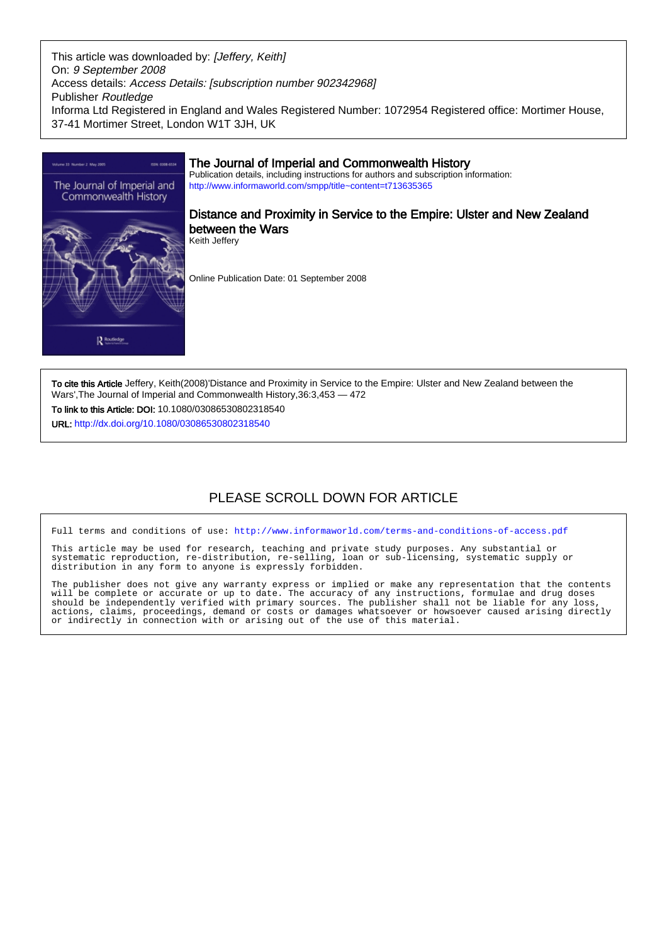This article was downloaded by: [Jeffery, Keith] On: 9 September 2008 Access details: Access Details: [subscription number 902342968] Publisher Routledge Informa Ltd Registered in England and Wales Registered Number: 1072954 Registered office: Mortimer House, 37-41 Mortimer Street, London W1T 3JH, UK



To cite this Article Jeffery, Keith(2008)'Distance and Proximity in Service to the Empire: Ulster and New Zealand between the Wars',The Journal of Imperial and Commonwealth History,36:3,453 — 472

To link to this Article: DOI: 10.1080/03086530802318540 URL: <http://dx.doi.org/10.1080/03086530802318540>

# PLEASE SCROLL DOWN FOR ARTICLE

Full terms and conditions of use:<http://www.informaworld.com/terms-and-conditions-of-access.pdf>

This article may be used for research, teaching and private study purposes. Any substantial or systematic reproduction, re-distribution, re-selling, loan or sub-licensing, systematic supply or distribution in any form to anyone is expressly forbidden.

The publisher does not give any warranty express or implied or make any representation that the contents will be complete or accurate or up to date. The accuracy of any instructions, formulae and drug doses should be independently verified with primary sources. The publisher shall not be liable for any loss, actions, claims, proceedings, demand or costs or damages whatsoever or howsoever caused arising directly or indirectly in connection with or arising out of the use of this material.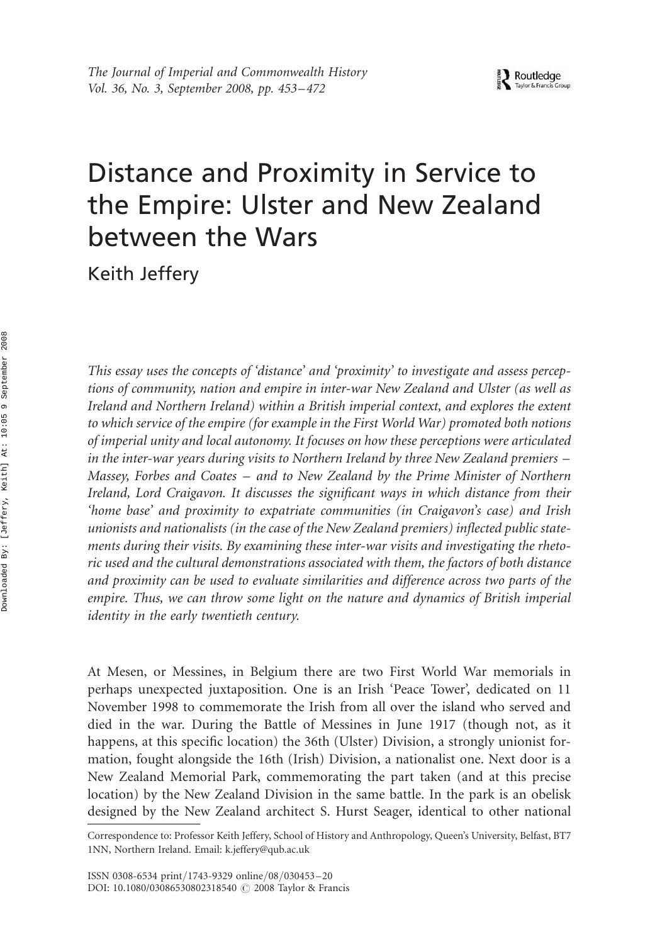# Distance and Proximity in Service to the Empire: Ulster and New Zealand between the Wars

Keith Jeffery

This essay uses the concepts of 'distance' and 'proximity' to investigate and assess perceptions of community, nation and empire in inter-war New Zealand and Ulster (as well as Ireland and Northern Ireland) within a British imperial context, and explores the extent to which service of the empire (for example in the First World War) promoted both notions of imperial unity and local autonomy. It focuses on how these perceptions were articulated in the inter-war years during visits to Northern Ireland by three New Zealand premiers – Massey, Forbes and Coates – and to New Zealand by the Prime Minister of Northern Ireland, Lord Craigavon. It discusses the significant ways in which distance from their 'home base' and proximity to expatriate communities (in Craigavon's case) and Irish unionists and nationalists (in the case of the New Zealand premiers) inflected public statements during their visits. By examining these inter-war visits and investigating the rhetoric used and the cultural demonstrations associated with them, the factors of both distance and proximity can be used to evaluate similarities and difference across two parts of the empire. Thus, we can throw some light on the nature and dynamics of British imperial identity in the early twentieth century.

At Mesen, or Messines, in Belgium there are two First World War memorials in perhaps unexpected juxtaposition. One is an Irish 'Peace Tower', dedicated on 11 November 1998 to commemorate the Irish from all over the island who served and died in the war. During the Battle of Messines in June 1917 (though not, as it happens, at this specific location) the 36th (Ulster) Division, a strongly unionist formation, fought alongside the 16th (Irish) Division, a nationalist one. Next door is a New Zealand Memorial Park, commemorating the part taken (and at this precise location) by the New Zealand Division in the same battle. In the park is an obelisk designed by the New Zealand architect S. Hurst Seager, identical to other national

Correspondence to: Professor Keith Jeffery, School of History and Anthropology, Queen's University, Belfast, BT7 1NN, Northern Ireland. Email: k.jeffery@qub.ac.uk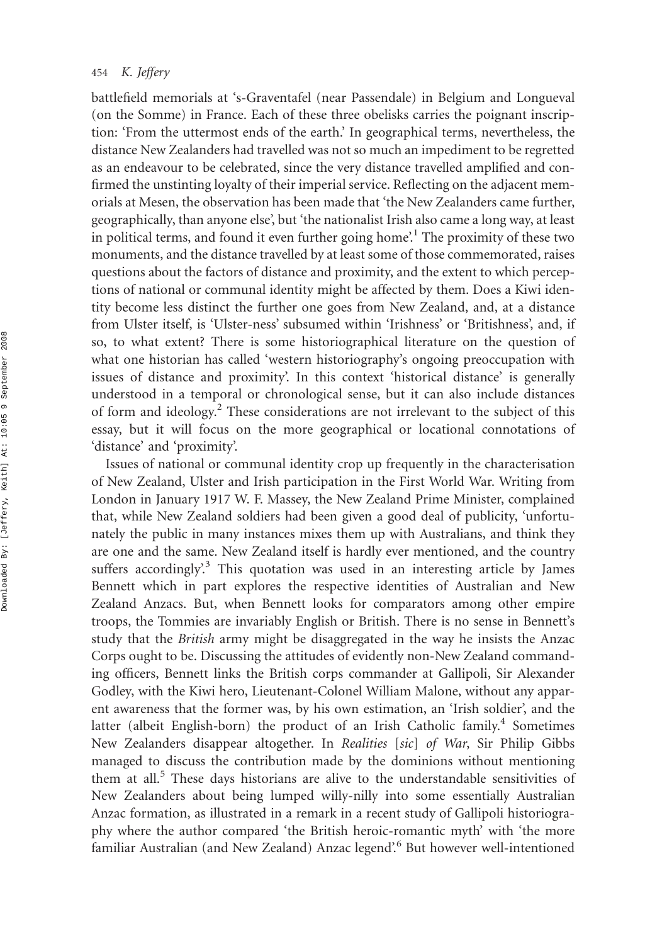battlefield memorials at 's-Graventafel (near Passendale) in Belgium and Longueval (on the Somme) in France. Each of these three obelisks carries the poignant inscription: 'From the uttermost ends of the earth.' In geographical terms, nevertheless, the distance New Zealanders had travelled was not so much an impediment to be regretted as an endeavour to be celebrated, since the very distance travelled amplified and confirmed the unstinting loyalty of their imperial service. Reflecting on the adjacent memorials at Mesen, the observation has been made that 'the New Zealanders came further, geographically, than anyone else', but 'the nationalist Irish also came a long way, at least in political terms, and found it even further going home'.<sup>1</sup> The proximity of these two monuments, and the distance travelled by at least some of those commemorated, raises questions about the factors of distance and proximity, and the extent to which perceptions of national or communal identity might be affected by them. Does a Kiwi identity become less distinct the further one goes from New Zealand, and, at a distance from Ulster itself, is 'Ulster-ness' subsumed within 'Irishness' or 'Britishness', and, if so, to what extent? There is some historiographical literature on the question of what one historian has called 'western historiography's ongoing preoccupation with issues of distance and proximity'. In this context 'historical distance' is generally understood in a temporal or chronological sense, but it can also include distances of form and ideology.2 These considerations are not irrelevant to the subject of this essay, but it will focus on the more geographical or locational connotations of 'distance' and 'proximity'.

Issues of national or communal identity crop up frequently in the characterisation of New Zealand, Ulster and Irish participation in the First World War. Writing from London in January 1917 W. F. Massey, the New Zealand Prime Minister, complained that, while New Zealand soldiers had been given a good deal of publicity, 'unfortunately the public in many instances mixes them up with Australians, and think they are one and the same. New Zealand itself is hardly ever mentioned, and the country suffers accordingly?<sup>3</sup> This quotation was used in an interesting article by James Bennett which in part explores the respective identities of Australian and New Zealand Anzacs. But, when Bennett looks for comparators among other empire troops, the Tommies are invariably English or British. There is no sense in Bennett's study that the British army might be disaggregated in the way he insists the Anzac Corps ought to be. Discussing the attitudes of evidently non-New Zealand commanding officers, Bennett links the British corps commander at Gallipoli, Sir Alexander Godley, with the Kiwi hero, Lieutenant-Colonel William Malone, without any apparent awareness that the former was, by his own estimation, an 'Irish soldier', and the latter (albeit English-born) the product of an Irish Catholic family.<sup>4</sup> Sometimes New Zealanders disappear altogether. In Realities [sic] of War, Sir Philip Gibbs managed to discuss the contribution made by the dominions without mentioning them at all.<sup>5</sup> These days historians are alive to the understandable sensitivities of New Zealanders about being lumped willy-nilly into some essentially Australian Anzac formation, as illustrated in a remark in a recent study of Gallipoli historiography where the author compared 'the British heroic-romantic myth' with 'the more familiar Australian (and New Zealand) Anzac legend'.<sup>6</sup> But however well-intentioned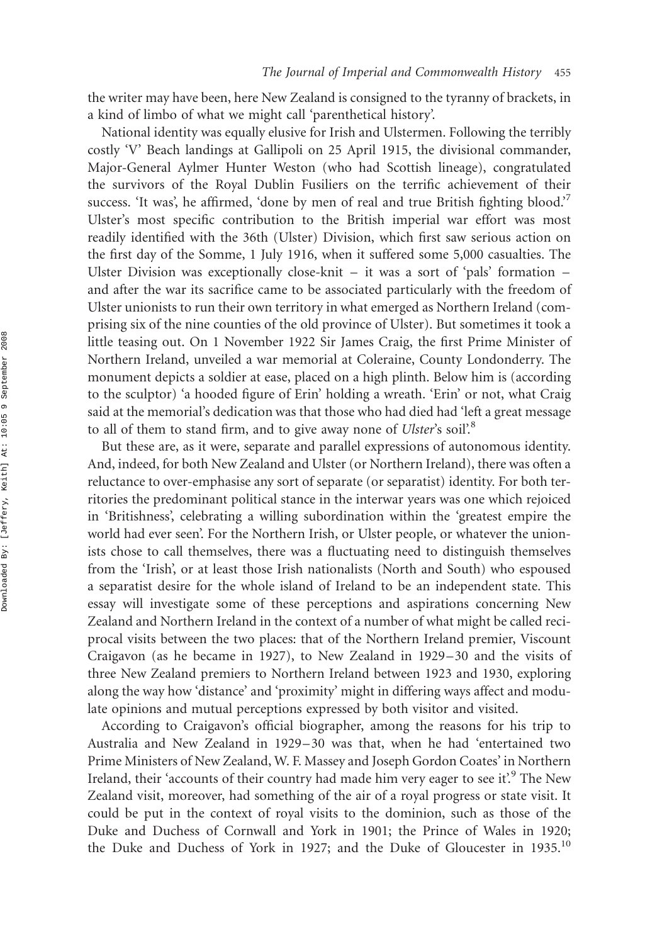the writer may have been, here New Zealand is consigned to the tyranny of brackets, in a kind of limbo of what we might call 'parenthetical history'.

National identity was equally elusive for Irish and Ulstermen. Following the terribly costly 'V' Beach landings at Gallipoli on 25 April 1915, the divisional commander, Major-General Aylmer Hunter Weston (who had Scottish lineage), congratulated the survivors of the Royal Dublin Fusiliers on the terrific achievement of their success. 'It was', he affirmed, 'done by men of real and true British fighting blood.' Ulster's most specific contribution to the British imperial war effort was most readily identified with the 36th (Ulster) Division, which first saw serious action on the first day of the Somme, 1 July 1916, when it suffered some 5,000 casualties. The Ulster Division was exceptionally close-knit  $-$  it was a sort of 'pals' formation  $$ and after the war its sacrifice came to be associated particularly with the freedom of Ulster unionists to run their own territory in what emerged as Northern Ireland (comprising six of the nine counties of the old province of Ulster). But sometimes it took a little teasing out. On 1 November 1922 Sir James Craig, the first Prime Minister of Northern Ireland, unveiled a war memorial at Coleraine, County Londonderry. The monument depicts a soldier at ease, placed on a high plinth. Below him is (according to the sculptor) 'a hooded figure of Erin' holding a wreath. 'Erin' or not, what Craig said at the memorial's dedication was that those who had died had 'left a great message to all of them to stand firm, and to give away none of Ulster's soil'.<sup>8</sup>

But these are, as it were, separate and parallel expressions of autonomous identity. And, indeed, for both New Zealand and Ulster (or Northern Ireland), there was often a reluctance to over-emphasise any sort of separate (or separatist) identity. For both territories the predominant political stance in the interwar years was one which rejoiced in 'Britishness', celebrating a willing subordination within the 'greatest empire the world had ever seen'. For the Northern Irish, or Ulster people, or whatever the unionists chose to call themselves, there was a fluctuating need to distinguish themselves from the 'Irish', or at least those Irish nationalists (North and South) who espoused a separatist desire for the whole island of Ireland to be an independent state. This essay will investigate some of these perceptions and aspirations concerning New Zealand and Northern Ireland in the context of a number of what might be called reciprocal visits between the two places: that of the Northern Ireland premier, Viscount Craigavon (as he became in 1927), to New Zealand in 1929–30 and the visits of three New Zealand premiers to Northern Ireland between 1923 and 1930, exploring along the way how 'distance' and 'proximity' might in differing ways affect and modulate opinions and mutual perceptions expressed by both visitor and visited.

According to Craigavon's official biographer, among the reasons for his trip to Australia and New Zealand in 1929–30 was that, when he had 'entertained two Prime Ministers of New Zealand, W. F. Massey and Joseph Gordon Coates' in Northern Ireland, their 'accounts of their country had made him very eager to see it'.<sup>9</sup> The New Zealand visit, moreover, had something of the air of a royal progress or state visit. It could be put in the context of royal visits to the dominion, such as those of the Duke and Duchess of Cornwall and York in 1901; the Prince of Wales in 1920; the Duke and Duchess of York in 1927; and the Duke of Gloucester in 1935.<sup>10</sup>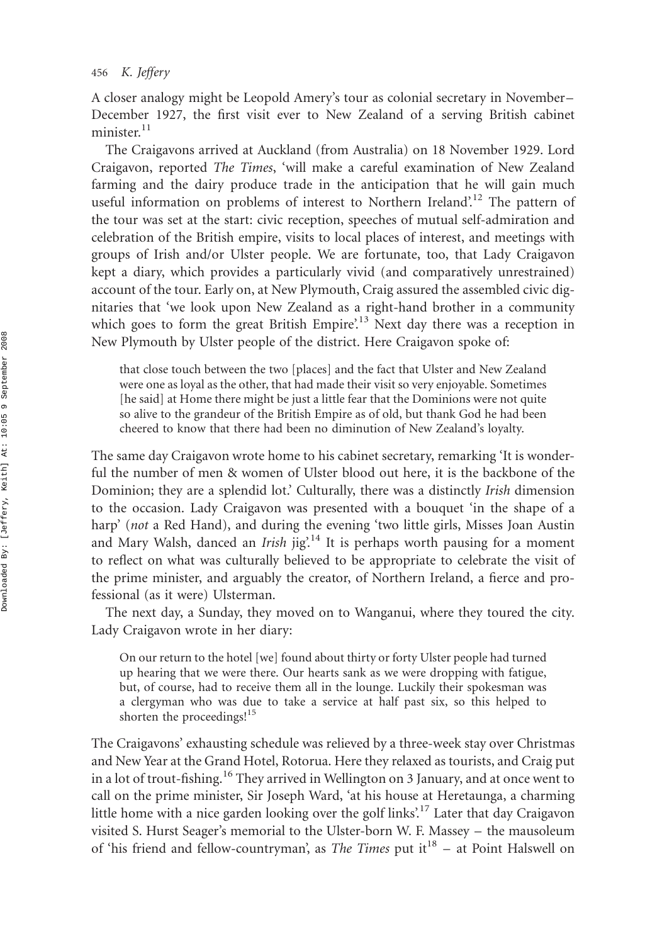A closer analogy might be Leopold Amery's tour as colonial secretary in November– December 1927, the first visit ever to New Zealand of a serving British cabinet minister. $11$ 

The Craigavons arrived at Auckland (from Australia) on 18 November 1929. Lord Craigavon, reported The Times, 'will make a careful examination of New Zealand farming and the dairy produce trade in the anticipation that he will gain much useful information on problems of interest to Northern Ireland'.<sup>12</sup> The pattern of the tour was set at the start: civic reception, speeches of mutual self-admiration and celebration of the British empire, visits to local places of interest, and meetings with groups of Irish and/or Ulster people. We are fortunate, too, that Lady Craigavon kept a diary, which provides a particularly vivid (and comparatively unrestrained) account of the tour. Early on, at New Plymouth, Craig assured the assembled civic dignitaries that 'we look upon New Zealand as a right-hand brother in a community which goes to form the great British Empire'.<sup>13</sup> Next day there was a reception in New Plymouth by Ulster people of the district. Here Craigavon spoke of:

that close touch between the two [places] and the fact that Ulster and New Zealand were one as loyal as the other, that had made their visit so very enjoyable. Sometimes [he said] at Home there might be just a little fear that the Dominions were not quite so alive to the grandeur of the British Empire as of old, but thank God he had been cheered to know that there had been no diminution of New Zealand's loyalty.

The same day Craigavon wrote home to his cabinet secretary, remarking 'It is wonderful the number of men & women of Ulster blood out here, it is the backbone of the Dominion; they are a splendid lot.' Culturally, there was a distinctly Irish dimension to the occasion. Lady Craigavon was presented with a bouquet 'in the shape of a harp' (not a Red Hand), and during the evening 'two little girls, Misses Joan Austin and Mary Walsh, danced an Irish jig'.<sup>14</sup> It is perhaps worth pausing for a moment to reflect on what was culturally believed to be appropriate to celebrate the visit of the prime minister, and arguably the creator, of Northern Ireland, a fierce and professional (as it were) Ulsterman.

The next day, a Sunday, they moved on to Wanganui, where they toured the city. Lady Craigavon wrote in her diary:

On our return to the hotel [we] found about thirty or forty Ulster people had turned up hearing that we were there. Our hearts sank as we were dropping with fatigue, but, of course, had to receive them all in the lounge. Luckily their spokesman was a clergyman who was due to take a service at half past six, so this helped to shorten the proceedings!<sup>15</sup>

The Craigavons' exhausting schedule was relieved by a three-week stay over Christmas and New Year at the Grand Hotel, Rotorua. Here they relaxed as tourists, and Craig put in a lot of trout-fishing.<sup>16</sup> They arrived in Wellington on 3 January, and at once went to call on the prime minister, Sir Joseph Ward, 'at his house at Heretaunga, a charming little home with a nice garden looking over the golf links'.<sup>17</sup> Later that day Craigavon visited S. Hurst Seager's memorial to the Ulster-born W. F. Massey – the mausoleum of 'his friend and fellow-countryman', as *The Times* put it<sup>18</sup> – at Point Halswell on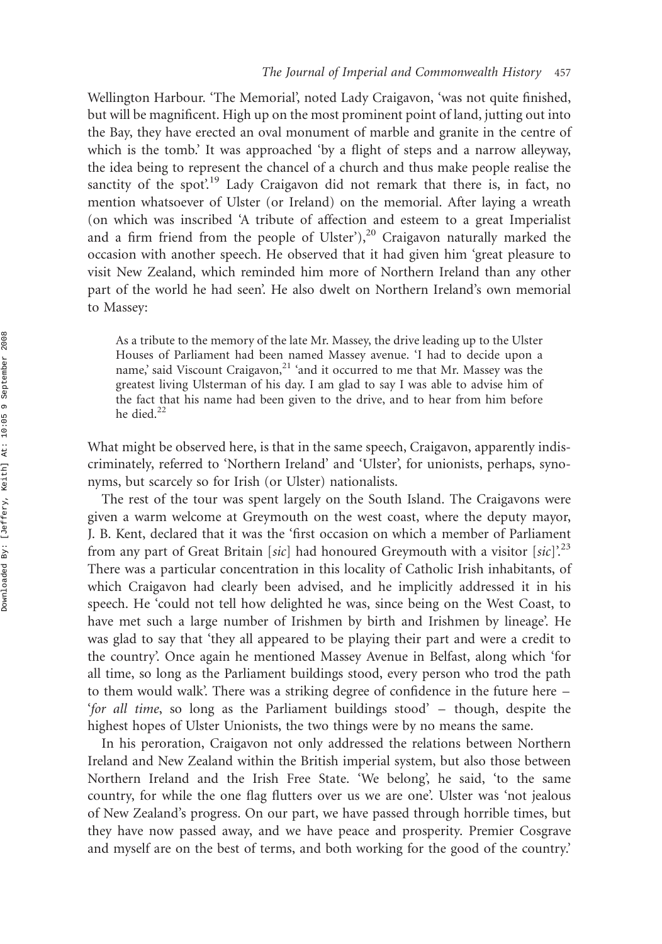Wellington Harbour. 'The Memorial', noted Lady Craigavon, 'was not quite finished, but will be magnificent. High up on the most prominent point of land, jutting out into the Bay, they have erected an oval monument of marble and granite in the centre of which is the tomb.' It was approached 'by a flight of steps and a narrow alleyway, the idea being to represent the chancel of a church and thus make people realise the sanctity of the spot'.<sup>19</sup> Lady Craigavon did not remark that there is, in fact, no mention whatsoever of Ulster (or Ireland) on the memorial. After laying a wreath (on which was inscribed 'A tribute of affection and esteem to a great Imperialist and a firm friend from the people of Ulster'),<sup>20</sup> Craigavon naturally marked the occasion with another speech. He observed that it had given him 'great pleasure to visit New Zealand, which reminded him more of Northern Ireland than any other part of the world he had seen'. He also dwelt on Northern Ireland's own memorial to Massey:

As a tribute to the memory of the late Mr. Massey, the drive leading up to the Ulster Houses of Parliament had been named Massey avenue. 'I had to decide upon a name,' said Viscount Craigavon,<sup>21</sup> 'and it occurred to me that Mr. Massey was the greatest living Ulsterman of his day. I am glad to say I was able to advise him of the fact that his name had been given to the drive, and to hear from him before he died. $22$ 

What might be observed here, is that in the same speech, Craigavon, apparently indiscriminately, referred to 'Northern Ireland' and 'Ulster', for unionists, perhaps, synonyms, but scarcely so for Irish (or Ulster) nationalists.

The rest of the tour was spent largely on the South Island. The Craigavons were given a warm welcome at Greymouth on the west coast, where the deputy mayor, J. B. Kent, declared that it was the 'first occasion on which a member of Parliament from any part of Great Britain [sic] had honoured Greymouth with a visitor  $[sic]$ <sup>23</sup> There was a particular concentration in this locality of Catholic Irish inhabitants, of which Craigavon had clearly been advised, and he implicitly addressed it in his speech. He 'could not tell how delighted he was, since being on the West Coast, to have met such a large number of Irishmen by birth and Irishmen by lineage'. He was glad to say that 'they all appeared to be playing their part and were a credit to the country'. Once again he mentioned Massey Avenue in Belfast, along which 'for all time, so long as the Parliament buildings stood, every person who trod the path to them would walk'. There was a striking degree of confidence in the future here – 'for all time, so long as the Parliament buildings stood' – though, despite the highest hopes of Ulster Unionists, the two things were by no means the same.

In his peroration, Craigavon not only addressed the relations between Northern Ireland and New Zealand within the British imperial system, but also those between Northern Ireland and the Irish Free State. 'We belong', he said, 'to the same country, for while the one flag flutters over us we are one'. Ulster was 'not jealous of New Zealand's progress. On our part, we have passed through horrible times, but they have now passed away, and we have peace and prosperity. Premier Cosgrave and myself are on the best of terms, and both working for the good of the country.'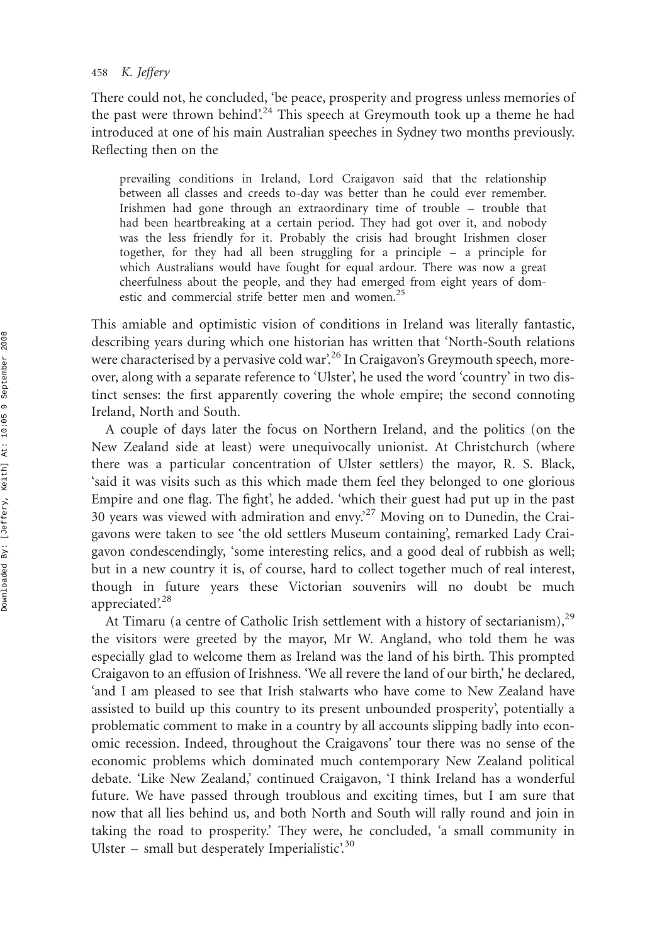# 458 K. Jeffery

There could not, he concluded, 'be peace, prosperity and progress unless memories of the past were thrown behind'.<sup>24</sup> This speech at Greymouth took up a theme he had introduced at one of his main Australian speeches in Sydney two months previously. Reflecting then on the

prevailing conditions in Ireland, Lord Craigavon said that the relationship between all classes and creeds to-day was better than he could ever remember. Irishmen had gone through an extraordinary time of trouble – trouble that had been heartbreaking at a certain period. They had got over it, and nobody was the less friendly for it. Probably the crisis had brought Irishmen closer together, for they had all been struggling for a principle – a principle for which Australians would have fought for equal ardour. There was now a great cheerfulness about the people, and they had emerged from eight years of domestic and commercial strife better men and women.<sup>25</sup>

This amiable and optimistic vision of conditions in Ireland was literally fantastic, describing years during which one historian has written that 'North-South relations were characterised by a pervasive cold war'.<sup>26</sup> In Craigavon's Greymouth speech, moreover, along with a separate reference to 'Ulster', he used the word 'country' in two distinct senses: the first apparently covering the whole empire; the second connoting Ireland, North and South.

A couple of days later the focus on Northern Ireland, and the politics (on the New Zealand side at least) were unequivocally unionist. At Christchurch (where there was a particular concentration of Ulster settlers) the mayor, R. S. Black, 'said it was visits such as this which made them feel they belonged to one glorious Empire and one flag. The fight', he added. 'which their guest had put up in the past 30 years was viewed with admiration and envy.'<sup>27</sup> Moving on to Dunedin, the Craigavons were taken to see 'the old settlers Museum containing', remarked Lady Craigavon condescendingly, 'some interesting relics, and a good deal of rubbish as well; but in a new country it is, of course, hard to collect together much of real interest, though in future years these Victorian souvenirs will no doubt be much appreciated'.28

At Timaru (a centre of Catholic Irish settlement with a history of sectarianism),  $2^9$ the visitors were greeted by the mayor, Mr W. Angland, who told them he was especially glad to welcome them as Ireland was the land of his birth. This prompted Craigavon to an effusion of Irishness. 'We all revere the land of our birth,' he declared, 'and I am pleased to see that Irish stalwarts who have come to New Zealand have assisted to build up this country to its present unbounded prosperity', potentially a problematic comment to make in a country by all accounts slipping badly into economic recession. Indeed, throughout the Craigavons' tour there was no sense of the economic problems which dominated much contemporary New Zealand political debate. 'Like New Zealand,' continued Craigavon, 'I think Ireland has a wonderful future. We have passed through troublous and exciting times, but I am sure that now that all lies behind us, and both North and South will rally round and join in taking the road to prosperity.' They were, he concluded, 'a small community in Ulster – small but desperately Imperialistic.<sup>30</sup>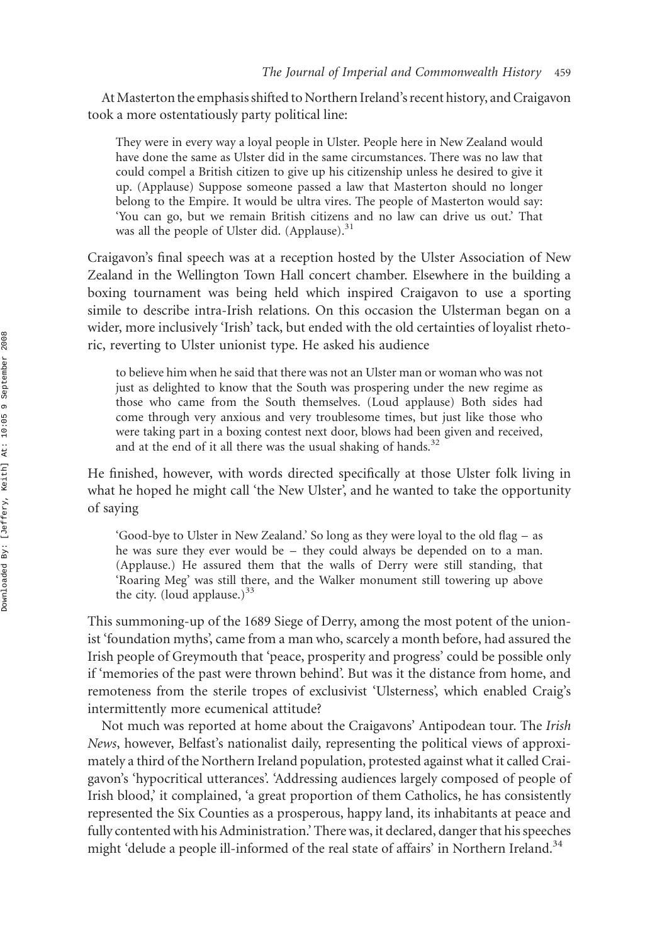At Masterton the emphasis shifted to Northern Ireland's recent history, and Craigavon took a more ostentatiously party political line:

They were in every way a loyal people in Ulster. People here in New Zealand would have done the same as Ulster did in the same circumstances. There was no law that could compel a British citizen to give up his citizenship unless he desired to give it up. (Applause) Suppose someone passed a law that Masterton should no longer belong to the Empire. It would be ultra vires. The people of Masterton would say: 'You can go, but we remain British citizens and no law can drive us out.' That was all the people of Ulster did. (Applause).<sup>31</sup>

Craigavon's final speech was at a reception hosted by the Ulster Association of New Zealand in the Wellington Town Hall concert chamber. Elsewhere in the building a boxing tournament was being held which inspired Craigavon to use a sporting simile to describe intra-Irish relations. On this occasion the Ulsterman began on a wider, more inclusively 'Irish' tack, but ended with the old certainties of loyalist rhetoric, reverting to Ulster unionist type. He asked his audience

to believe him when he said that there was not an Ulster man or woman who was not just as delighted to know that the South was prospering under the new regime as those who came from the South themselves. (Loud applause) Both sides had come through very anxious and very troublesome times, but just like those who were taking part in a boxing contest next door, blows had been given and received, and at the end of it all there was the usual shaking of hands.<sup>32</sup>

He finished, however, with words directed specifically at those Ulster folk living in what he hoped he might call 'the New Ulster', and he wanted to take the opportunity of saying

'Good-bye to Ulster in New Zealand.' So long as they were loyal to the old flag – as he was sure they ever would be – they could always be depended on to a man. (Applause.) He assured them that the walls of Derry were still standing, that 'Roaring Meg' was still there, and the Walker monument still towering up above the city. (loud applause.) $33$ 

This summoning-up of the 1689 Siege of Derry, among the most potent of the unionist 'foundation myths', came from a man who, scarcely a month before, had assured the Irish people of Greymouth that 'peace, prosperity and progress' could be possible only if 'memories of the past were thrown behind'. But was it the distance from home, and remoteness from the sterile tropes of exclusivist 'Ulsterness', which enabled Craig's intermittently more ecumenical attitude?

Not much was reported at home about the Craigavons' Antipodean tour. The Irish News, however, Belfast's nationalist daily, representing the political views of approximately a third of the Northern Ireland population, protested against what it called Craigavon's 'hypocritical utterances'. 'Addressing audiences largely composed of people of Irish blood,' it complained, 'a great proportion of them Catholics, he has consistently represented the Six Counties as a prosperous, happy land, its inhabitants at peace and fully contented with his Administration.' There was, it declared, danger that his speeches might 'delude a people ill-informed of the real state of affairs' in Northern Ireland.<sup>34</sup>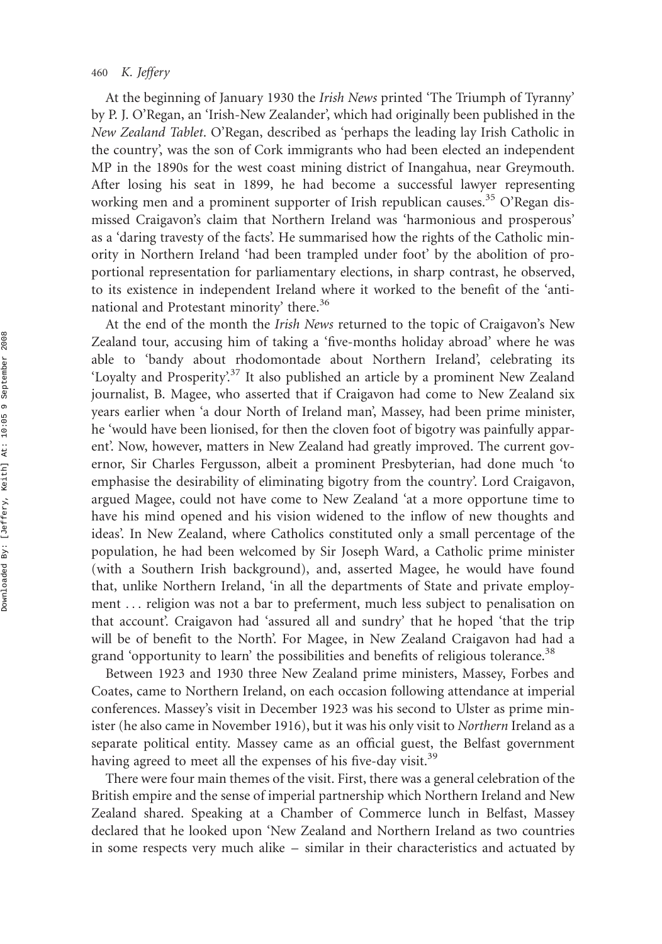At the beginning of January 1930 the Irish News printed 'The Triumph of Tyranny' by P. J. O'Regan, an 'Irish-New Zealander', which had originally been published in the New Zealand Tablet. O'Regan, described as 'perhaps the leading lay Irish Catholic in the country', was the son of Cork immigrants who had been elected an independent MP in the 1890s for the west coast mining district of Inangahua, near Greymouth. After losing his seat in 1899, he had become a successful lawyer representing working men and a prominent supporter of Irish republican causes.<sup>35</sup> O'Regan dismissed Craigavon's claim that Northern Ireland was 'harmonious and prosperous' as a 'daring travesty of the facts'. He summarised how the rights of the Catholic minority in Northern Ireland 'had been trampled under foot' by the abolition of proportional representation for parliamentary elections, in sharp contrast, he observed, to its existence in independent Ireland where it worked to the benefit of the 'antinational and Protestant minority' there.<sup>36</sup>

At the end of the month the Irish News returned to the topic of Craigavon's New Zealand tour, accusing him of taking a 'five-months holiday abroad' where he was able to 'bandy about rhodomontade about Northern Ireland', celebrating its 'Loyalty and Prosperity'.<sup>37</sup> It also published an article by a prominent New Zealand journalist, B. Magee, who asserted that if Craigavon had come to New Zealand six years earlier when 'a dour North of Ireland man', Massey, had been prime minister, he 'would have been lionised, for then the cloven foot of bigotry was painfully apparent'. Now, however, matters in New Zealand had greatly improved. The current governor, Sir Charles Fergusson, albeit a prominent Presbyterian, had done much 'to emphasise the desirability of eliminating bigotry from the country'. Lord Craigavon, argued Magee, could not have come to New Zealand 'at a more opportune time to have his mind opened and his vision widened to the inflow of new thoughts and ideas'. In New Zealand, where Catholics constituted only a small percentage of the population, he had been welcomed by Sir Joseph Ward, a Catholic prime minister (with a Southern Irish background), and, asserted Magee, he would have found that, unlike Northern Ireland, 'in all the departments of State and private employment ... religion was not a bar to preferment, much less subject to penalisation on that account'. Craigavon had 'assured all and sundry' that he hoped 'that the trip will be of benefit to the North'. For Magee, in New Zealand Craigavon had had a grand 'opportunity to learn' the possibilities and benefits of religious tolerance.<sup>38</sup>

Between 1923 and 1930 three New Zealand prime ministers, Massey, Forbes and Coates, came to Northern Ireland, on each occasion following attendance at imperial conferences. Massey's visit in December 1923 was his second to Ulster as prime minister (he also came in November 1916), but it was his only visit to Northern Ireland as a separate political entity. Massey came as an official guest, the Belfast government having agreed to meet all the expenses of his five-day visit.<sup>39</sup>

There were four main themes of the visit. First, there was a general celebration of the British empire and the sense of imperial partnership which Northern Ireland and New Zealand shared. Speaking at a Chamber of Commerce lunch in Belfast, Massey declared that he looked upon 'New Zealand and Northern Ireland as two countries in some respects very much alike – similar in their characteristics and actuated by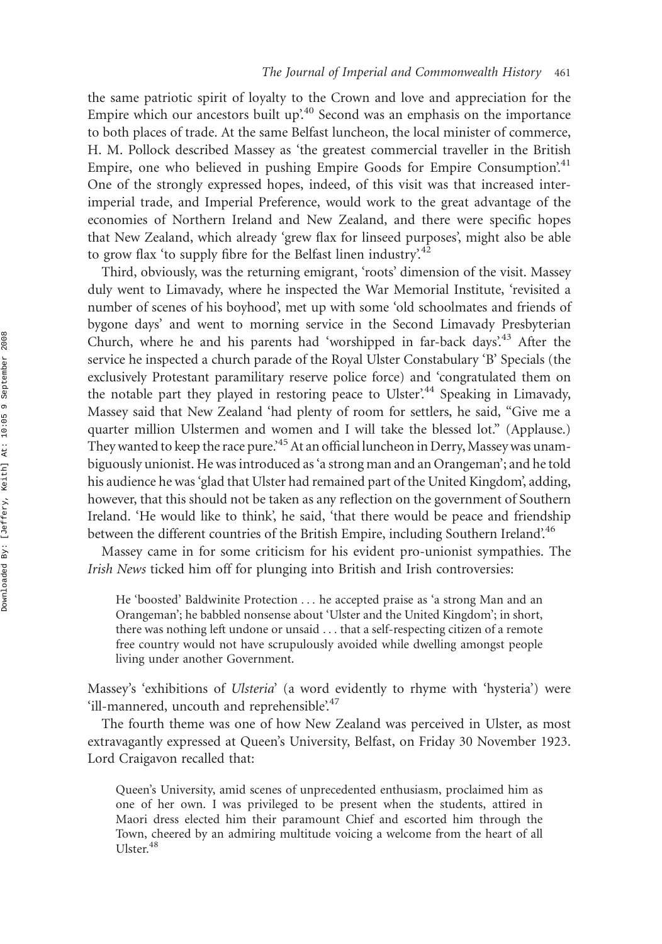the same patriotic spirit of loyalty to the Crown and love and appreciation for the Empire which our ancestors built up<sup>240</sup> Second was an emphasis on the importance to both places of trade. At the same Belfast luncheon, the local minister of commerce, H. M. Pollock described Massey as 'the greatest commercial traveller in the British Empire, one who believed in pushing Empire Goods for Empire Consumption.<sup>41</sup> One of the strongly expressed hopes, indeed, of this visit was that increased interimperial trade, and Imperial Preference, would work to the great advantage of the economies of Northern Ireland and New Zealand, and there were specific hopes that New Zealand, which already 'grew flax for linseed purposes', might also be able to grow flax 'to supply fibre for the Belfast linen industry'.<sup>42</sup>

Third, obviously, was the returning emigrant, 'roots' dimension of the visit. Massey duly went to Limavady, where he inspected the War Memorial Institute, 'revisited a number of scenes of his boyhood', met up with some 'old schoolmates and friends of bygone days' and went to morning service in the Second Limavady Presbyterian Church, where he and his parents had 'worshipped in far-back days'.<sup>43</sup> After the service he inspected a church parade of the Royal Ulster Constabulary 'B' Specials (the exclusively Protestant paramilitary reserve police force) and 'congratulated them on the notable part they played in restoring peace to Ulster'.<sup>44</sup> Speaking in Limavady, Massey said that New Zealand 'had plenty of room for settlers, he said, "Give me a quarter million Ulstermen and women and I will take the blessed lot." (Applause.) They wanted to keep the race pure.<sup>45</sup> At an official luncheon in Derry, Massey was unambiguously unionist. He was introduced as 'a strong man and an Orangeman'; and he told his audience he was 'glad that Ulster had remained part of the United Kingdom', adding, however, that this should not be taken as any reflection on the government of Southern Ireland. 'He would like to think', he said, 'that there would be peace and friendship between the different countries of the British Empire, including Southern Ireland.<sup>46</sup>

Massey came in for some criticism for his evident pro-unionist sympathies. The Irish News ticked him off for plunging into British and Irish controversies:

He 'boosted' Baldwinite Protection ... he accepted praise as 'a strong Man and an Orangeman'; he babbled nonsense about 'Ulster and the United Kingdom'; in short, there was nothing left undone or unsaid ... that a self-respecting citizen of a remote free country would not have scrupulously avoided while dwelling amongst people living under another Government.

Massey's 'exhibitions of Ulsteria' (a word evidently to rhyme with 'hysteria') were 'ill-mannered, uncouth and reprehensible'.<sup>47</sup>

The fourth theme was one of how New Zealand was perceived in Ulster, as most extravagantly expressed at Queen's University, Belfast, on Friday 30 November 1923. Lord Craigavon recalled that:

Queen's University, amid scenes of unprecedented enthusiasm, proclaimed him as one of her own. I was privileged to be present when the students, attired in Maori dress elected him their paramount Chief and escorted him through the Town, cheered by an admiring multitude voicing a welcome from the heart of all Ulster.<sup>48</sup>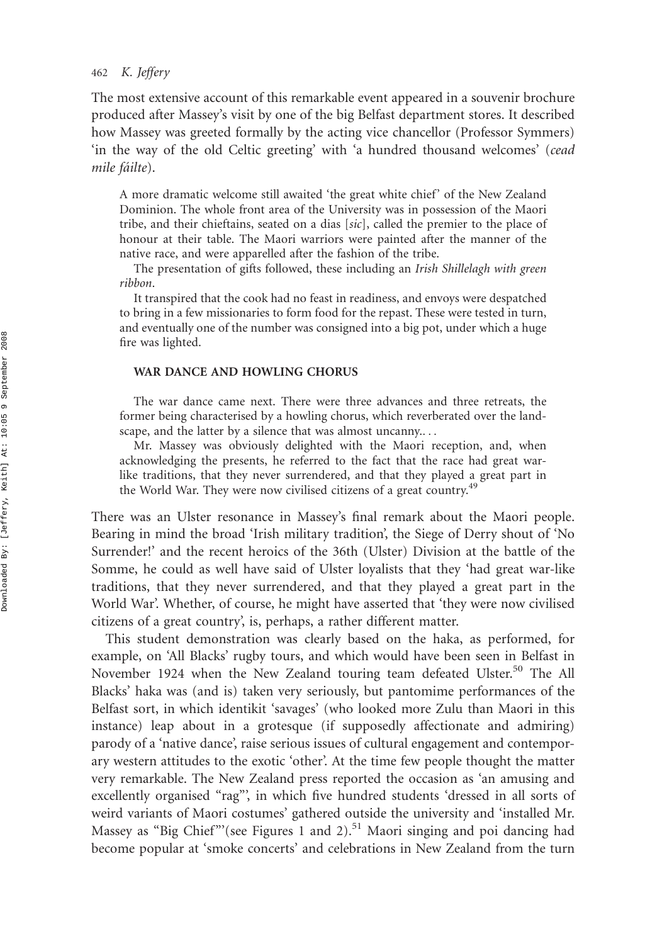The most extensive account of this remarkable event appeared in a souvenir brochure produced after Massey's visit by one of the big Belfast department stores. It described how Massey was greeted formally by the acting vice chancellor (Professor Symmers) 'in the way of the old Celtic greeting' with 'a hundred thousand welcomes' (cead mile fáilte).

A more dramatic welcome still awaited 'the great white chief' of the New Zealand Dominion. The whole front area of the University was in possession of the Maori tribe, and their chieftains, seated on a dias [sic], called the premier to the place of honour at their table. The Maori warriors were painted after the manner of the native race, and were apparelled after the fashion of the tribe.

The presentation of gifts followed, these including an Irish Shillelagh with green ribbon.

It transpired that the cook had no feast in readiness, and envoys were despatched to bring in a few missionaries to form food for the repast. These were tested in turn, and eventually one of the number was consigned into a big pot, under which a huge fire was lighted.

#### WAR DANCE AND HOWLING CHORUS

The war dance came next. There were three advances and three retreats, the former being characterised by a howling chorus, which reverberated over the landscape, and the latter by a silence that was almost uncanny....

Mr. Massey was obviously delighted with the Maori reception, and, when acknowledging the presents, he referred to the fact that the race had great warlike traditions, that they never surrendered, and that they played a great part in the World War. They were now civilised citizens of a great country.<sup>49</sup>

There was an Ulster resonance in Massey's final remark about the Maori people. Bearing in mind the broad 'Irish military tradition', the Siege of Derry shout of 'No Surrender!' and the recent heroics of the 36th (Ulster) Division at the battle of the Somme, he could as well have said of Ulster loyalists that they 'had great war-like traditions, that they never surrendered, and that they played a great part in the World War'. Whether, of course, he might have asserted that 'they were now civilised citizens of a great country', is, perhaps, a rather different matter.

This student demonstration was clearly based on the haka, as performed, for example, on 'All Blacks' rugby tours, and which would have been seen in Belfast in November 1924 when the New Zealand touring team defeated Ulster.<sup>50</sup> The All Blacks' haka was (and is) taken very seriously, but pantomime performances of the Belfast sort, in which identikit 'savages' (who looked more Zulu than Maori in this instance) leap about in a grotesque (if supposedly affectionate and admiring) parody of a 'native dance', raise serious issues of cultural engagement and contemporary western attitudes to the exotic 'other'. At the time few people thought the matter very remarkable. The New Zealand press reported the occasion as 'an amusing and excellently organised "rag"', in which five hundred students 'dressed in all sorts of weird variants of Maori costumes' gathered outside the university and 'installed Mr. Massey as "Big Chief"'(see Figures 1 and 2).<sup>51</sup> Maori singing and poi dancing had become popular at 'smoke concerts' and celebrations in New Zealand from the turn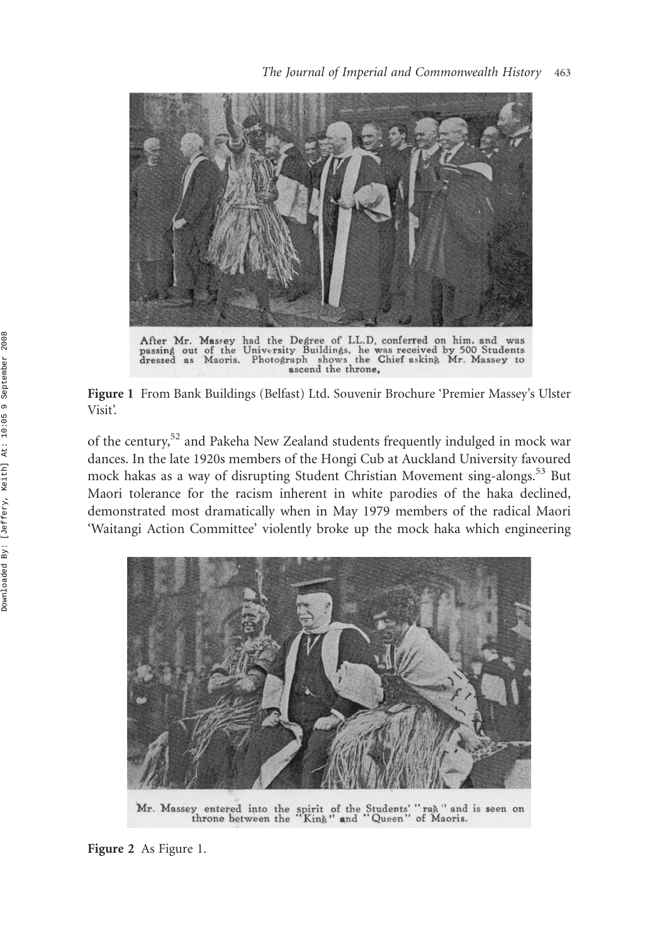

After Mr. Massey had the Degree of LL.D, conferred on him. and was passing out of the University Buildings, he was received by 500 Students dressed as Maoris. Photograph shows the Chief asking Mr. Massey to ascend the thro

Figure 1 From Bank Buildings (Belfast) Ltd. Souvenir Brochure 'Premier Massey's Ulster Visit'.

of the century,52 and Pakeha New Zealand students frequently indulged in mock war dances. In the late 1920s members of the Hongi Cub at Auckland University favoured mock hakas as a way of disrupting Student Christian Movement sing-alongs.<sup>53</sup> But Maori tolerance for the racism inherent in white parodies of the haka declined, demonstrated most dramatically when in May 1979 members of the radical Maori 'Waitangi Action Committee' violently broke up the mock haka which engineering



Mr. Massey entered into the spirit of the Students' "rag" and is seen on throne between the "King" and "Queen" of Maoris.

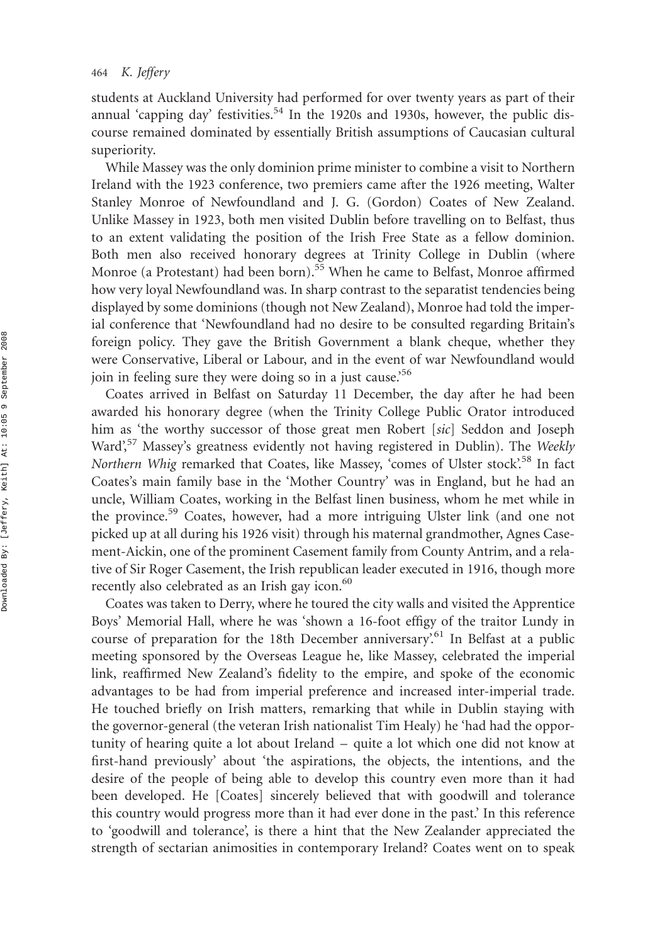students at Auckland University had performed for over twenty years as part of their annual 'capping day' festivities. $54$  In the 1920s and 1930s, however, the public discourse remained dominated by essentially British assumptions of Caucasian cultural superiority.

While Massey was the only dominion prime minister to combine a visit to Northern Ireland with the 1923 conference, two premiers came after the 1926 meeting, Walter Stanley Monroe of Newfoundland and J. G. (Gordon) Coates of New Zealand. Unlike Massey in 1923, both men visited Dublin before travelling on to Belfast, thus to an extent validating the position of the Irish Free State as a fellow dominion. Both men also received honorary degrees at Trinity College in Dublin (where Monroe (a Protestant) had been born).<sup>55</sup> When he came to Belfast, Monroe affirmed how very loyal Newfoundland was. In sharp contrast to the separatist tendencies being displayed by some dominions (though not New Zealand), Monroe had told the imperial conference that 'Newfoundland had no desire to be consulted regarding Britain's foreign policy. They gave the British Government a blank cheque, whether they were Conservative, Liberal or Labour, and in the event of war Newfoundland would join in feeling sure they were doing so in a just cause.<sup>56</sup>

Coates arrived in Belfast on Saturday 11 December, the day after he had been awarded his honorary degree (when the Trinity College Public Orator introduced him as 'the worthy successor of those great men Robert [sic] Seddon and Joseph Ward',<sup>57</sup> Massey's greatness evidently not having registered in Dublin). The Weekly Northern Whig remarked that Coates, like Massey, 'comes of Ulster stock'.<sup>58</sup> In fact Coates's main family base in the 'Mother Country' was in England, but he had an uncle, William Coates, working in the Belfast linen business, whom he met while in the province.<sup>59</sup> Coates, however, had a more intriguing Ulster link (and one not picked up at all during his 1926 visit) through his maternal grandmother, Agnes Casement-Aickin, one of the prominent Casement family from County Antrim, and a relative of Sir Roger Casement, the Irish republican leader executed in 1916, though more recently also celebrated as an Irish gay icon.<sup>60</sup>

Coates was taken to Derry, where he toured the city walls and visited the Apprentice Boys' Memorial Hall, where he was 'shown a 16-foot effigy of the traitor Lundy in course of preparation for the 18th December anniversary'.<sup>61</sup> In Belfast at a public meeting sponsored by the Overseas League he, like Massey, celebrated the imperial link, reaffirmed New Zealand's fidelity to the empire, and spoke of the economic advantages to be had from imperial preference and increased inter-imperial trade. He touched briefly on Irish matters, remarking that while in Dublin staying with the governor-general (the veteran Irish nationalist Tim Healy) he 'had had the opportunity of hearing quite a lot about Ireland – quite a lot which one did not know at first-hand previously' about 'the aspirations, the objects, the intentions, and the desire of the people of being able to develop this country even more than it had been developed. He [Coates] sincerely believed that with goodwill and tolerance this country would progress more than it had ever done in the past.' In this reference to 'goodwill and tolerance', is there a hint that the New Zealander appreciated the strength of sectarian animosities in contemporary Ireland? Coates went on to speak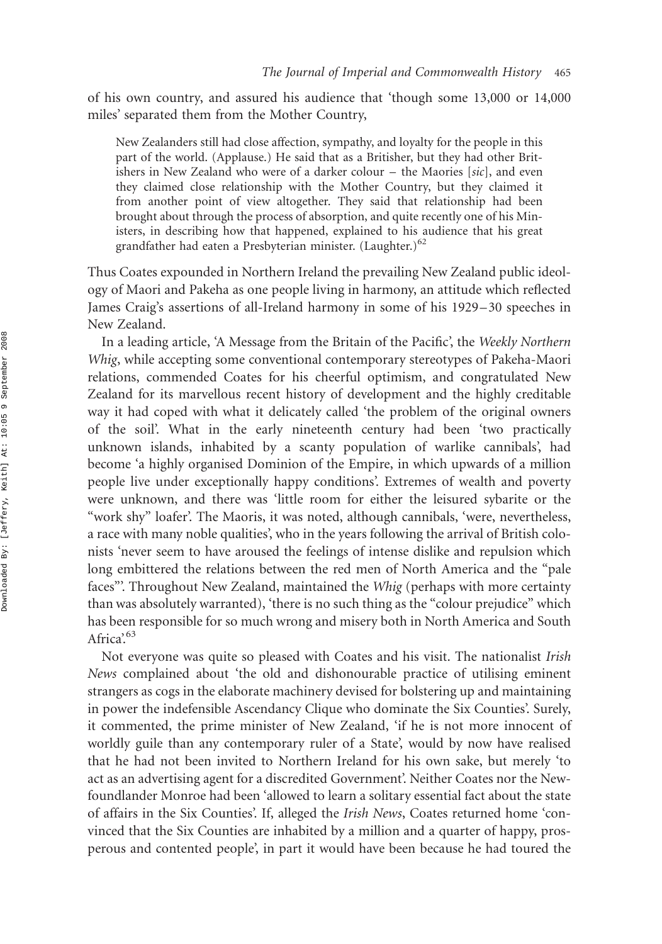of his own country, and assured his audience that 'though some 13,000 or 14,000 miles' separated them from the Mother Country,

New Zealanders still had close affection, sympathy, and loyalty for the people in this part of the world. (Applause.) He said that as a Britisher, but they had other Britishers in New Zealand who were of a darker colour – the Maories [sic], and even they claimed close relationship with the Mother Country, but they claimed it from another point of view altogether. They said that relationship had been brought about through the process of absorption, and quite recently one of his Ministers, in describing how that happened, explained to his audience that his great grandfather had eaten a Presbyterian minister. (Laughter.)<sup>62</sup>

Thus Coates expounded in Northern Ireland the prevailing New Zealand public ideology of Maori and Pakeha as one people living in harmony, an attitude which reflected James Craig's assertions of all-Ireland harmony in some of his 1929–30 speeches in New Zealand.

In a leading article, 'A Message from the Britain of the Pacific', the Weekly Northern Whig, while accepting some conventional contemporary stereotypes of Pakeha-Maori relations, commended Coates for his cheerful optimism, and congratulated New Zealand for its marvellous recent history of development and the highly creditable way it had coped with what it delicately called 'the problem of the original owners of the soil'. What in the early nineteenth century had been 'two practically unknown islands, inhabited by a scanty population of warlike cannibals', had become 'a highly organised Dominion of the Empire, in which upwards of a million people live under exceptionally happy conditions'. Extremes of wealth and poverty were unknown, and there was 'little room for either the leisured sybarite or the "work shy" loafer'. The Maoris, it was noted, although cannibals, 'were, nevertheless, a race with many noble qualities', who in the years following the arrival of British colonists 'never seem to have aroused the feelings of intense dislike and repulsion which long embittered the relations between the red men of North America and the "pale faces"'. Throughout New Zealand, maintained the Whig (perhaps with more certainty than was absolutely warranted), 'there is no such thing as the "colour prejudice" which has been responsible for so much wrong and misery both in North America and South Africa'.<sup>63</sup>

Not everyone was quite so pleased with Coates and his visit. The nationalist Irish News complained about 'the old and dishonourable practice of utilising eminent strangers as cogs in the elaborate machinery devised for bolstering up and maintaining in power the indefensible Ascendancy Clique who dominate the Six Counties'. Surely, it commented, the prime minister of New Zealand, 'if he is not more innocent of worldly guile than any contemporary ruler of a State', would by now have realised that he had not been invited to Northern Ireland for his own sake, but merely 'to act as an advertising agent for a discredited Government'. Neither Coates nor the Newfoundlander Monroe had been 'allowed to learn a solitary essential fact about the state of affairs in the Six Counties'. If, alleged the Irish News, Coates returned home 'convinced that the Six Counties are inhabited by a million and a quarter of happy, prosperous and contented people', in part it would have been because he had toured the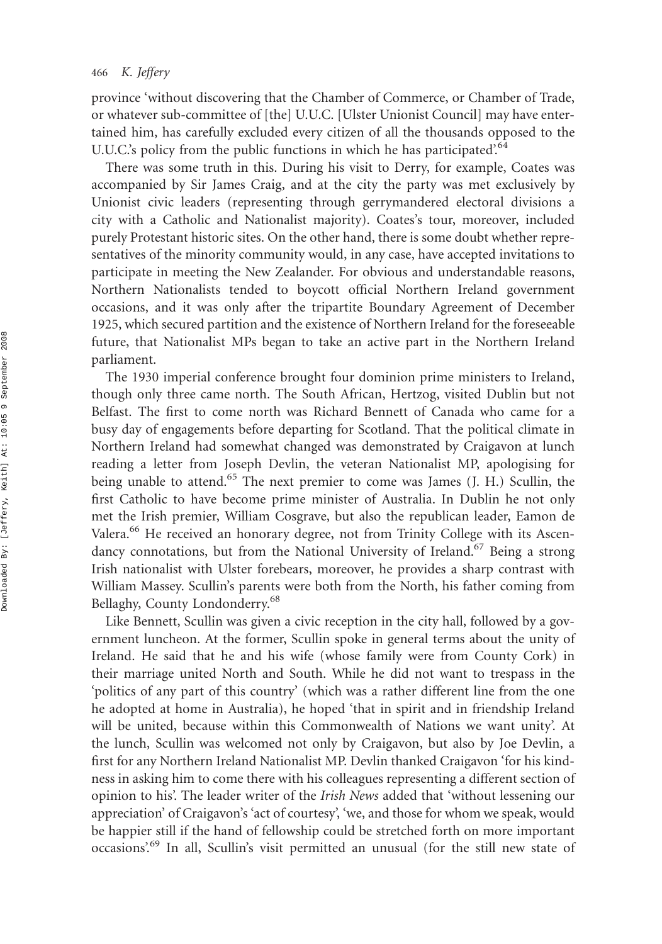province 'without discovering that the Chamber of Commerce, or Chamber of Trade, or whatever sub-committee of [the] U.U.C. [Ulster Unionist Council] may have entertained him, has carefully excluded every citizen of all the thousands opposed to the U.U.C.'s policy from the public functions in which he has participated'.<sup>64</sup>

There was some truth in this. During his visit to Derry, for example, Coates was accompanied by Sir James Craig, and at the city the party was met exclusively by Unionist civic leaders (representing through gerrymandered electoral divisions a city with a Catholic and Nationalist majority). Coates's tour, moreover, included purely Protestant historic sites. On the other hand, there is some doubt whether representatives of the minority community would, in any case, have accepted invitations to participate in meeting the New Zealander. For obvious and understandable reasons, Northern Nationalists tended to boycott official Northern Ireland government occasions, and it was only after the tripartite Boundary Agreement of December 1925, which secured partition and the existence of Northern Ireland for the foreseeable future, that Nationalist MPs began to take an active part in the Northern Ireland parliament.

The 1930 imperial conference brought four dominion prime ministers to Ireland, though only three came north. The South African, Hertzog, visited Dublin but not Belfast. The first to come north was Richard Bennett of Canada who came for a busy day of engagements before departing for Scotland. That the political climate in Northern Ireland had somewhat changed was demonstrated by Craigavon at lunch reading a letter from Joseph Devlin, the veteran Nationalist MP, apologising for being unable to attend.<sup>65</sup> The next premier to come was James (J. H.) Scullin, the first Catholic to have become prime minister of Australia. In Dublin he not only met the Irish premier, William Cosgrave, but also the republican leader, Eamon de Valera.<sup>66</sup> He received an honorary degree, not from Trinity College with its Ascendancy connotations, but from the National University of Ireland.<sup>67</sup> Being a strong Irish nationalist with Ulster forebears, moreover, he provides a sharp contrast with William Massey. Scullin's parents were both from the North, his father coming from Bellaghy, County Londonderry.68

Like Bennett, Scullin was given a civic reception in the city hall, followed by a government luncheon. At the former, Scullin spoke in general terms about the unity of Ireland. He said that he and his wife (whose family were from County Cork) in their marriage united North and South. While he did not want to trespass in the 'politics of any part of this country' (which was a rather different line from the one he adopted at home in Australia), he hoped 'that in spirit and in friendship Ireland will be united, because within this Commonwealth of Nations we want unity'. At the lunch, Scullin was welcomed not only by Craigavon, but also by Joe Devlin, a first for any Northern Ireland Nationalist MP. Devlin thanked Craigavon 'for his kindness in asking him to come there with his colleagues representing a different section of opinion to his'. The leader writer of the Irish News added that 'without lessening our appreciation' of Craigavon's 'act of courtesy', 'we, and those for whom we speak, would be happier still if the hand of fellowship could be stretched forth on more important occasions'.69 In all, Scullin's visit permitted an unusual (for the still new state of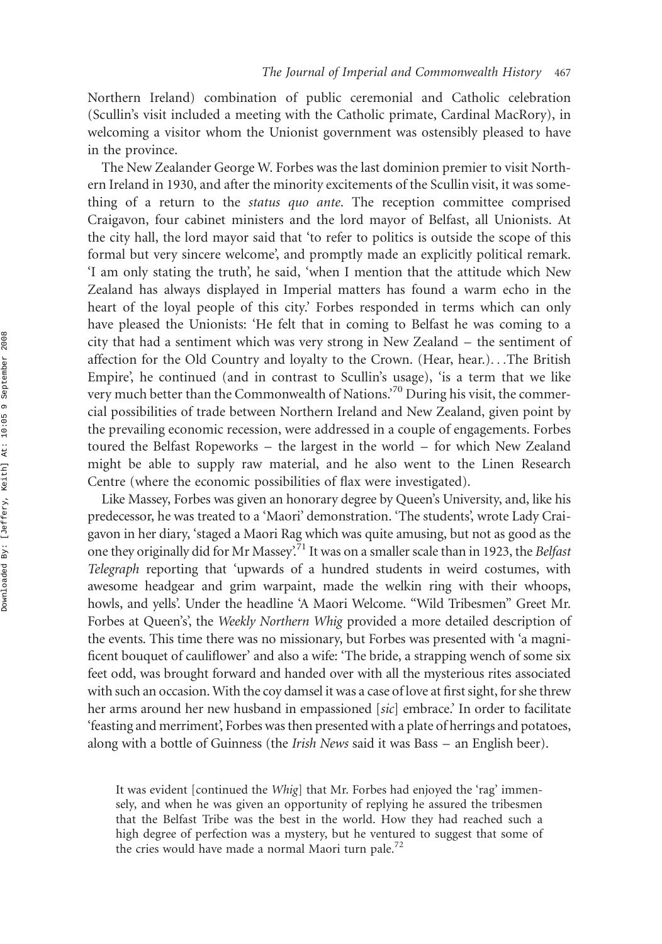Northern Ireland) combination of public ceremonial and Catholic celebration (Scullin's visit included a meeting with the Catholic primate, Cardinal MacRory), in welcoming a visitor whom the Unionist government was ostensibly pleased to have in the province.

The New Zealander George W. Forbes was the last dominion premier to visit Northern Ireland in 1930, and after the minority excitements of the Scullin visit, it was something of a return to the status quo ante. The reception committee comprised Craigavon, four cabinet ministers and the lord mayor of Belfast, all Unionists. At the city hall, the lord mayor said that 'to refer to politics is outside the scope of this formal but very sincere welcome', and promptly made an explicitly political remark. 'I am only stating the truth', he said, 'when I mention that the attitude which New Zealand has always displayed in Imperial matters has found a warm echo in the heart of the loyal people of this city.' Forbes responded in terms which can only have pleased the Unionists: 'He felt that in coming to Belfast he was coming to a city that had a sentiment which was very strong in New Zealand – the sentiment of affection for the Old Country and loyalty to the Crown. (Hear, hear.)...The British Empire', he continued (and in contrast to Scullin's usage), 'is a term that we like very much better than the Commonwealth of Nations.'70 During his visit, the commercial possibilities of trade between Northern Ireland and New Zealand, given point by the prevailing economic recession, were addressed in a couple of engagements. Forbes toured the Belfast Ropeworks – the largest in the world – for which New Zealand might be able to supply raw material, and he also went to the Linen Research Centre (where the economic possibilities of flax were investigated).

Like Massey, Forbes was given an honorary degree by Queen's University, and, like his predecessor, he was treated to a 'Maori' demonstration. 'The students', wrote Lady Craigavon in her diary, 'staged a Maori Rag which was quite amusing, but not as good as the one they originally did for Mr Massey.<sup>71</sup> It was on a smaller scale than in 1923, the Belfast Telegraph reporting that 'upwards of a hundred students in weird costumes, with awesome headgear and grim warpaint, made the welkin ring with their whoops, howls, and yells'. Under the headline 'A Maori Welcome. "Wild Tribesmen" Greet Mr. Forbes at Queen's', the Weekly Northern Whig provided a more detailed description of the events. This time there was no missionary, but Forbes was presented with 'a magnificent bouquet of cauliflower' and also a wife: 'The bride, a strapping wench of some six feet odd, was brought forward and handed over with all the mysterious rites associated with such an occasion. With the coy damsel it was a case of love at first sight, for she threw her arms around her new husband in empassioned [sic] embrace.' In order to facilitate 'feasting and merriment', Forbes was then presented with a plate of herrings and potatoes, along with a bottle of Guinness (the Irish News said it was Bass – an English beer).

It was evident [continued the Whig] that Mr. Forbes had enjoyed the 'rag' immensely, and when he was given an opportunity of replying he assured the tribesmen that the Belfast Tribe was the best in the world. How they had reached such a high degree of perfection was a mystery, but he ventured to suggest that some of the cries would have made a normal Maori turn pale.<sup>72</sup>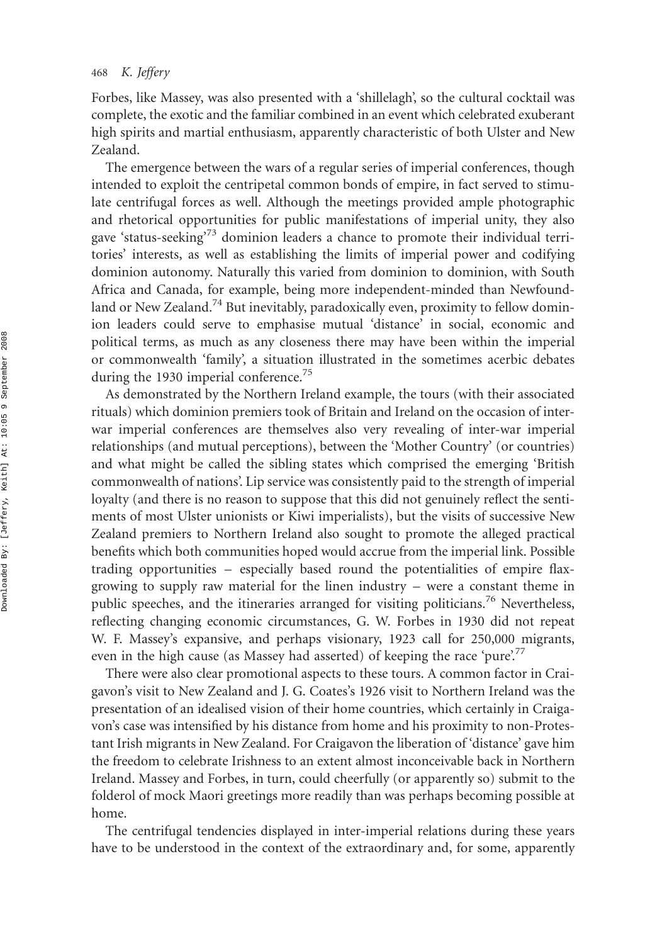Forbes, like Massey, was also presented with a 'shillelagh', so the cultural cocktail was complete, the exotic and the familiar combined in an event which celebrated exuberant high spirits and martial enthusiasm, apparently characteristic of both Ulster and New Zealand.

The emergence between the wars of a regular series of imperial conferences, though intended to exploit the centripetal common bonds of empire, in fact served to stimulate centrifugal forces as well. Although the meetings provided ample photographic and rhetorical opportunities for public manifestations of imperial unity, they also gave 'status-seeking'73 dominion leaders a chance to promote their individual territories' interests, as well as establishing the limits of imperial power and codifying dominion autonomy. Naturally this varied from dominion to dominion, with South Africa and Canada, for example, being more independent-minded than Newfoundland or New Zealand.<sup>74</sup> But inevitably, paradoxically even, proximity to fellow dominion leaders could serve to emphasise mutual 'distance' in social, economic and political terms, as much as any closeness there may have been within the imperial or commonwealth 'family', a situation illustrated in the sometimes acerbic debates during the 1930 imperial conference.<sup>75</sup>

As demonstrated by the Northern Ireland example, the tours (with their associated rituals) which dominion premiers took of Britain and Ireland on the occasion of interwar imperial conferences are themselves also very revealing of inter-war imperial relationships (and mutual perceptions), between the 'Mother Country' (or countries) and what might be called the sibling states which comprised the emerging 'British commonwealth of nations'. Lip service was consistently paid to the strength of imperial loyalty (and there is no reason to suppose that this did not genuinely reflect the sentiments of most Ulster unionists or Kiwi imperialists), but the visits of successive New Zealand premiers to Northern Ireland also sought to promote the alleged practical benefits which both communities hoped would accrue from the imperial link. Possible trading opportunities – especially based round the potentialities of empire flaxgrowing to supply raw material for the linen industry – were a constant theme in public speeches, and the itineraries arranged for visiting politicians.<sup>76</sup> Nevertheless, reflecting changing economic circumstances, G. W. Forbes in 1930 did not repeat W. F. Massey's expansive, and perhaps visionary, 1923 call for 250,000 migrants, even in the high cause (as Massey had asserted) of keeping the race 'pure'.<sup>77</sup>

There were also clear promotional aspects to these tours. A common factor in Craigavon's visit to New Zealand and J. G. Coates's 1926 visit to Northern Ireland was the presentation of an idealised vision of their home countries, which certainly in Craigavon's case was intensified by his distance from home and his proximity to non-Protestant Irish migrants in New Zealand. For Craigavon the liberation of 'distance' gave him the freedom to celebrate Irishness to an extent almost inconceivable back in Northern Ireland. Massey and Forbes, in turn, could cheerfully (or apparently so) submit to the folderol of mock Maori greetings more readily than was perhaps becoming possible at home.

The centrifugal tendencies displayed in inter-imperial relations during these years have to be understood in the context of the extraordinary and, for some, apparently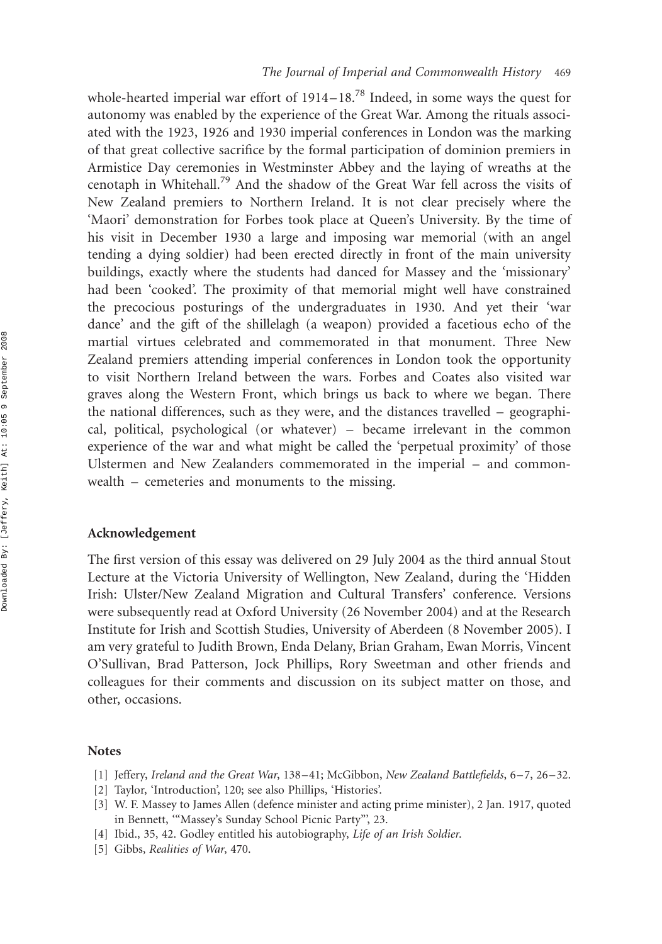whole-hearted imperial war effort of  $1914-18<sup>78</sup>$  Indeed, in some ways the quest for autonomy was enabled by the experience of the Great War. Among the rituals associated with the 1923, 1926 and 1930 imperial conferences in London was the marking of that great collective sacrifice by the formal participation of dominion premiers in Armistice Day ceremonies in Westminster Abbey and the laying of wreaths at the cenotaph in Whitehall.79 And the shadow of the Great War fell across the visits of New Zealand premiers to Northern Ireland. It is not clear precisely where the 'Maori' demonstration for Forbes took place at Queen's University. By the time of his visit in December 1930 a large and imposing war memorial (with an angel tending a dying soldier) had been erected directly in front of the main university buildings, exactly where the students had danced for Massey and the 'missionary' had been 'cooked'. The proximity of that memorial might well have constrained the precocious posturings of the undergraduates in 1930. And yet their 'war dance' and the gift of the shillelagh (a weapon) provided a facetious echo of the martial virtues celebrated and commemorated in that monument. Three New Zealand premiers attending imperial conferences in London took the opportunity to visit Northern Ireland between the wars. Forbes and Coates also visited war graves along the Western Front, which brings us back to where we began. There the national differences, such as they were, and the distances travelled – geographical, political, psychological (or whatever) – became irrelevant in the common experience of the war and what might be called the 'perpetual proximity' of those Ulstermen and New Zealanders commemorated in the imperial – and commonwealth – cemeteries and monuments to the missing.

# Acknowledgement

The first version of this essay was delivered on 29 July 2004 as the third annual Stout Lecture at the Victoria University of Wellington, New Zealand, during the 'Hidden Irish: Ulster/New Zealand Migration and Cultural Transfers' conference. Versions were subsequently read at Oxford University (26 November 2004) and at the Research Institute for Irish and Scottish Studies, University of Aberdeen (8 November 2005). I am very grateful to Judith Brown, Enda Delany, Brian Graham, Ewan Morris, Vincent O'Sullivan, Brad Patterson, Jock Phillips, Rory Sweetman and other friends and colleagues for their comments and discussion on its subject matter on those, and other, occasions.

# Notes

- [1] Jeffery, Ireland and the Great War, 138–41; McGibbon, New Zealand Battlefields, 6–7, 26–32.
- [2] Taylor, 'Introduction', 120; see also Phillips, 'Histories'.
- [3] W. F. Massey to James Allen (defence minister and acting prime minister), 2 Jan. 1917, quoted in Bennett, '"Massey's Sunday School Picnic Party"', 23.
- [4] Ibid., 35, 42. Godley entitled his autobiography, Life of an Irish Soldier.
- [5] Gibbs, Realities of War, 470.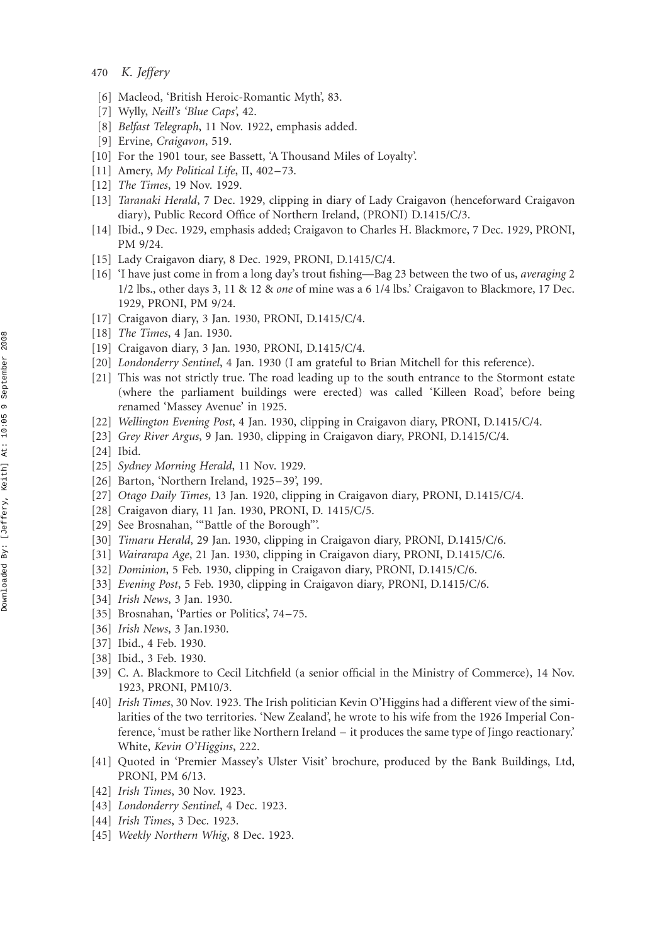- 470 K. Jeffery
- [6] Macleod, 'British Heroic-Romantic Myth', 83.
- [7] Wylly, Neill's 'Blue Caps', 42.
- [8] Belfast Telegraph, 11 Nov. 1922, emphasis added.
- [9] Ervine, Craigavon, 519.
- [10] For the 1901 tour, see Bassett, 'A Thousand Miles of Loyalty'.
- [11] Amery, My Political Life, II, 402–73.
- [12] *The Times*, 19 Nov. 1929.
- [13] Taranaki Herald, 7 Dec. 1929, clipping in diary of Lady Craigavon (henceforward Craigavon diary), Public Record Office of Northern Ireland, (PRONI) D.1415/C/3.
- [14] Ibid., 9 Dec. 1929, emphasis added; Craigavon to Charles H. Blackmore, 7 Dec. 1929, PRONI, PM 9/24.
- [15] Lady Craigavon diary, 8 Dec. 1929, PRONI, D.1415/C/4.
- [16] 'I have just come in from a long day's trout fishing—Bag 23 between the two of us, averaging 2  $1/2$  lbs., other days 3, 11 & 12 & one of mine was a 6 1/4 lbs.' Craigavon to Blackmore, 17 Dec. 1929, PRONI, PM 9/24.
- [17] Craigavon diary, 3 Jan. 1930, PRONI, D.1415/C/4.
- [18] *The Times*, 4 Jan. 1930.
- [19] Craigavon diary, 3 Jan. 1930, PRONI, D.1415/C/4.
- [20] Londonderry Sentinel, 4 Jan. 1930 (I am grateful to Brian Mitchell for this reference).
- [21] This was not strictly true. The road leading up to the south entrance to the Stormont estate (where the parliament buildings were erected) was called 'Killeen Road', before being renamed 'Massey Avenue' in 1925.
- [22] Wellington Evening Post, 4 Jan. 1930, clipping in Craigavon diary, PRONI, D.1415/C/4.
- [23] Grey River Argus, 9 Jan. 1930, clipping in Craigavon diary, PRONI, D.1415/C/4.
- [24] Ibid.
- [25] Sydney Morning Herald, 11 Nov. 1929.
- [26] Barton, 'Northern Ireland, 1925–39', 199.
- [27] Otago Daily Times, 13 Jan. 1920, clipping in Craigavon diary, PRONI, D.1415/C/4.
- [28] Craigavon diary, 11 Jan. 1930, PRONI, D. 1415/C/5.
- [29] See Brosnahan, "Battle of the Borough".
- [30] Timaru Herald, 29 Jan. 1930, clipping in Craigavon diary, PRONI, D.1415/C/6.
- [31] Wairarapa Age, 21 Jan. 1930, clipping in Craigavon diary, PRONI, D.1415/C/6.
- [32] Dominion, 5 Feb. 1930, clipping in Craigavon diary, PRONI, D.1415/C/6.
- [33] Evening Post, 5 Feb. 1930, clipping in Craigavon diary, PRONI, D.1415/C/6.
- [34] *Irish News*, 3 Jan. 1930.
- [35] Brosnahan, 'Parties or Politics', 74-75.
- [36] Irish News, 3 Jan.1930.
- [37] Ibid., 4 Feb. 1930.
- [38] Ibid., 3 Feb. 1930.
- [39] C. A. Blackmore to Cecil Litchfield (a senior official in the Ministry of Commerce), 14 Nov. 1923, PRONI, PM10/3.
- [40] Irish Times, 30 Nov. 1923. The Irish politician Kevin O'Higgins had a different view of the similarities of the two territories. 'New Zealand', he wrote to his wife from the 1926 Imperial Conference, 'must be rather like Northern Ireland – it produces the same type of Jingo reactionary.' White, Kevin O'Higgins, 222.
- [41] Quoted in 'Premier Massey's Ulster Visit' brochure, produced by the Bank Buildings, Ltd, PRONI, PM 6/13.
- [42] Irish Times, 30 Nov. 1923.
- [43] Londonderry Sentinel, 4 Dec. 1923.
- [44] *Irish Times*, 3 Dec. 1923.
- [45] Weekly Northern Whig, 8 Dec. 1923.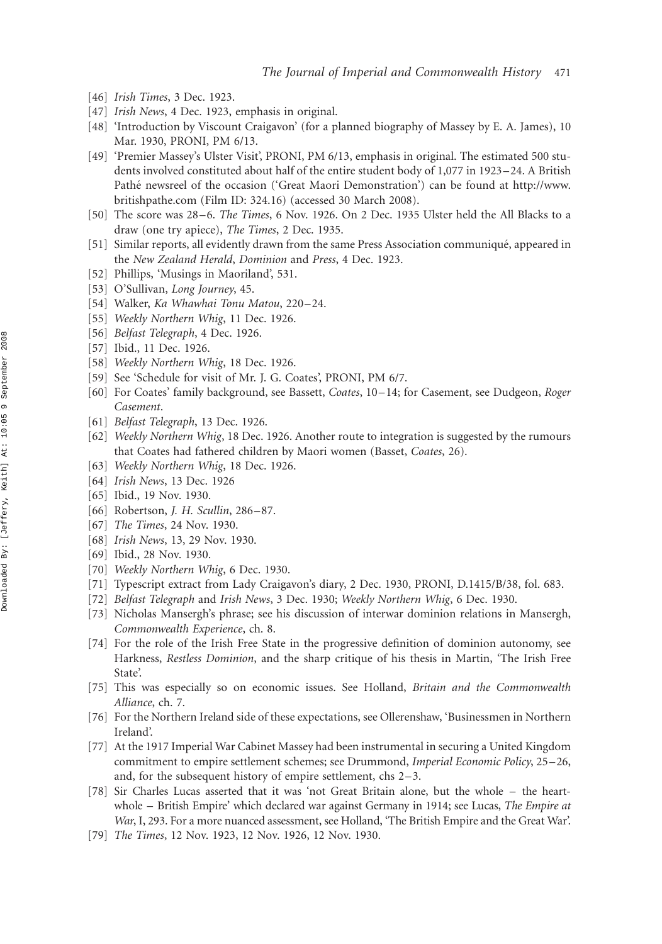- [46] Irish Times, 3 Dec. 1923.
- [47] Irish News, 4 Dec. 1923, emphasis in original.
- [48] 'Introduction by Viscount Craigavon' (for a planned biography of Massey by E. A. James), 10 Mar. 1930, PRONI, PM 6/13.
- [49] 'Premier Massey's Ulster Visit', PRONI, PM 6/13, emphasis in original. The estimated 500 students involved constituted about half of the entire student body of 1,077 in 1923–24. A British Pathe´ newsreel of the occasion ('Great Maori Demonstration') can be found at http://www. britishpathe.com (Film ID: 324.16) (accessed 30 March 2008).
- [50] The score was 28-6. The Times, 6 Nov. 1926. On 2 Dec. 1935 Ulster held the All Blacks to a draw (one try apiece), The Times, 2 Dec. 1935.
- [51] Similar reports, all evidently drawn from the same Press Association communiqué, appeared in the New Zealand Herald, Dominion and Press, 4 Dec. 1923.
- [52] Phillips, 'Musings in Maoriland', 531.
- [53] O'Sullivan, Long Journey, 45.
- [54] Walker, Ka Whawhai Tonu Matou, 220–24.
- [55] Weekly Northern Whig, 11 Dec. 1926.
- [56] Belfast Telegraph, 4 Dec. 1926.
- [57] Ibid., 11 Dec. 1926.
- [58] Weekly Northern Whig, 18 Dec. 1926.
- [59] See 'Schedule for visit of Mr. J. G. Coates', PRONI, PM 6/7.
- [60] For Coates' family background, see Bassett, Coates, 10–14; for Casement, see Dudgeon, Roger Casement.
- [61] Belfast Telegraph, 13 Dec. 1926.
- [62] Weekly Northern Whig, 18 Dec. 1926. Another route to integration is suggested by the rumours that Coates had fathered children by Maori women (Basset, Coates, 26).
- [63] Weekly Northern Whig, 18 Dec. 1926.
- [64] Irish News, 13 Dec. 1926
- [65] Ibid., 19 Nov. 1930.
- [66] Robertson, J. H. Scullin, 286–87.
- [67] *The Times*, 24 Nov. 1930.
- [68] Irish News, 13, 29 Nov. 1930.
- [69] Ibid., 28 Nov. 1930.
- [70] Weekly Northern Whig, 6 Dec. 1930.
- [71] Typescript extract from Lady Craigavon's diary, 2 Dec. 1930, PRONI, D.1415/B/38, fol. 683.
- [72] Belfast Telegraph and Irish News, 3 Dec. 1930; Weekly Northern Whig, 6 Dec. 1930.
- [73] Nicholas Mansergh's phrase; see his discussion of interwar dominion relations in Mansergh, Commonwealth Experience, ch. 8.
- [74] For the role of the Irish Free State in the progressive definition of dominion autonomy, see Harkness, Restless Dominion, and the sharp critique of his thesis in Martin, 'The Irish Free State'.
- [75] This was especially so on economic issues. See Holland, Britain and the Commonwealth Alliance, ch. 7.
- [76] For the Northern Ireland side of these expectations, see Ollerenshaw, 'Businessmen in Northern Ireland'.
- [77] At the 1917 Imperial War Cabinet Massey had been instrumental in securing a United Kingdom commitment to empire settlement schemes; see Drummond, Imperial Economic Policy, 25–26, and, for the subsequent history of empire settlement, chs 2–3.
- [78] Sir Charles Lucas asserted that it was 'not Great Britain alone, but the whole the heartwhole – British Empire' which declared war against Germany in 1914; see Lucas, The Empire at War, I, 293. For a more nuanced assessment, see Holland, 'The British Empire and the Great War'.
- [79] The Times, 12 Nov. 1923, 12 Nov. 1926, 12 Nov. 1930.